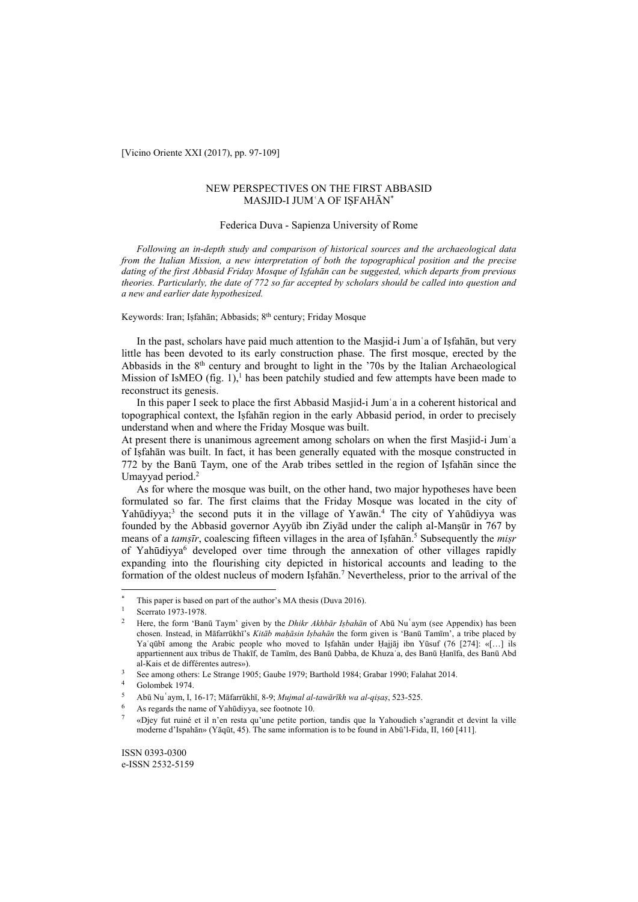[Vicino Oriente XXI (2017), pp. 97-109]

## NEW PERSPECTIVES ON THE FIRST ABBASID MASJID-I JUMʿA OF IṢFAHĀN\*

### Federica Duva - Sapienza University of Rome

*Following an in-depth study and comparison of historical sources and the archaeological data from the Italian Mission, a new interpretation of both the topographical position and the precise dating of the first Abbasid Friday Mosque of Iṣfahān can be suggested, which departs from previous theories. Particularly, the date of 772 so far accepted by scholars should be called into question and a new and earlier date hypothesized.* 

### Keywords: Iran; Iṣfahān; Abbasids; 8<sup>th</sup> century; Friday Mosque

In the past, scholars have paid much attention to the Masjid-i Jumʿa of Iṣfahān, but very little has been devoted to its early construction phase. The first mosque, erected by the Abbasids in the  $8<sup>th</sup>$  century and brought to light in the '70s by the Italian Archaeological Mission of IsMEO (fig. 1),<sup>1</sup> has been patchily studied and few attempts have been made to reconstruct its genesis.

In this paper I seek to place the first Abbasid Masjid-i Jumʿa in a coherent historical and topographical context, the Iṣfahān region in the early Abbasid period, in order to precisely understand when and where the Friday Mosque was built.

At present there is unanimous agreement among scholars on when the first Masjid-i Jumʿa of Iṣfahān was built. In fact, it has been generally equated with the mosque constructed in 772 by the Banū Taym, one of the Arab tribes settled in the region of Iṣfahān since the Umayyad period.2

As for where the mosque was built, on the other hand, two major hypotheses have been formulated so far. The first claims that the Friday Mosque was located in the city of Yahūdiyya;<sup>3</sup> the second puts it in the village of Yawān.<sup>4</sup> The city of Yahūdiyya was founded by the Abbasid governor Ayyūb ibn Ziyād under the caliph al-Manṣūr in 767 by means of a *tamşīr*, coalescing fifteen villages in the area of Isfahān.<sup>5</sup> Subsequently the *mișr* of Yahūdiyya<sup>6</sup> developed over time through the annexation of other villages rapidly expanding into the flourishing city depicted in historical accounts and leading to the formation of the oldest nucleus of modern Isfahan.<sup>7</sup> Nevertheless, prior to the arrival of the

 $\overline{\phantom{a}}$ 

<sup>&</sup>lt;sup>\*</sup> This paper is based on part of the author's MA thesis (Duva 2016).<br><sup>1</sup> Scerrato 1973-1978.

<sup>2</sup> Here, the form 'Banū Taym' given by the *Dhikr Akhbār Iṣbahān* of Abū Nuʿaym (see Appendix) has been chosen. Instead, in Māfarrūkhī's *Kitāb maḥāsin Iṣbahān* the form given is 'Banū Tamīm', a tribe placed by Ya'qūbī among the Arabic people who moved to Isfahān under Hajjāj ibn Yūsuf (76 [274]: «[…] ils appartiennent aux tribus de Thakīf, de Tamīm, des Banū Ḍabba, de Khuzaʿa, des Banū Ḥanīfa, des Banū Abd al-Kais et de différentes autres»). 3 See among others: Le Strange 1905; Gaube 1979; Barthold 1984; Grabar 1990; Falahat 2014. 4 Golombek 1974.

<sup>5</sup> Abū Nuʿaym, I, 16-17; Māfarrūkhī, 8-9; *Mujmal al-tawārīkh wa al-qiṣaṣ*, 523-525. 6 As regards the name of Yahūdiyya, see footnote 10.

<sup>7 «</sup>Djey fut ruiné et il n'en resta qu'une petite portion, tandis que la Yahoudieh s'agrandit et devint la ville moderne d'Ispahān» (Yāqūt, 45). The same information is to be found in Abū'l-Fida, II, 160 [411].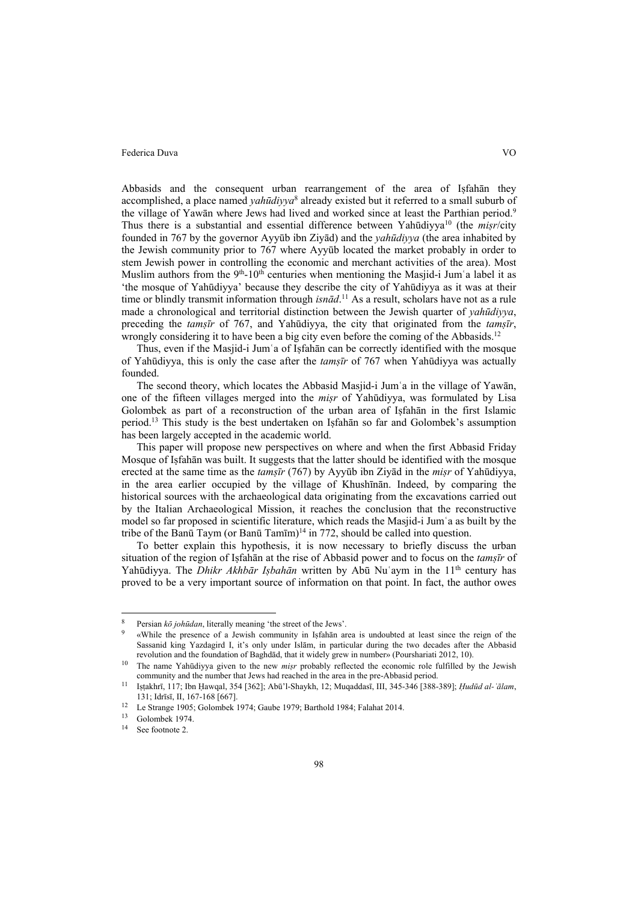Abbasids and the consequent urban rearrangement of the area of Iṣfahān they accomplished, a place named *yahūdiyya*<sup>8</sup> already existed but it referred to a small suburb of the village of Yawān where Jews had lived and worked since at least the Parthian period.<sup>9</sup> Thus there is a substantial and essential difference between Yahūdiyya10 (the *miṣr*/city founded in 767 by the governor Ayyūb ibn Ziyād) and the *yahūdiyya* (the area inhabited by the Jewish community prior to 767 where Ayyūb located the market probably in order to stem Jewish power in controlling the economic and merchant activities of the area). Most Muslim authors from the  $9<sup>th</sup>$ -10<sup>th</sup> centuries when mentioning the Masjid-i Jum'a label it as 'the mosque of Yahūdiyya' because they describe the city of Yahūdiyya as it was at their time or blindly transmit information through *isnād*. 11 As a result, scholars have not as a rule made a chronological and territorial distinction between the Jewish quarter of *yahūdiyya*, preceding the *tamṣīr* of 767, and Yahūdiyya, the city that originated from the *tamṣīr*, wrongly considering it to have been a big city even before the coming of the Abbasids.<sup>12</sup>

Thus, even if the Masjid-i Jumʿa of Iṣfahān can be correctly identified with the mosque of Yahūdiyya, this is only the case after the *tamṣīr* of 767 when Yahūdiyya was actually founded.

The second theory, which locates the Abbasid Masjid-i Jumʿa in the village of Yawān, one of the fifteen villages merged into the *miṣr* of Yahūdiyya, was formulated by Lisa Golombek as part of a reconstruction of the urban area of Iṣfahān in the first Islamic period.13 This study is the best undertaken on Iṣfahān so far and Golombek's assumption has been largely accepted in the academic world.

This paper will propose new perspectives on where and when the first Abbasid Friday Mosque of Iṣfahān was built. It suggests that the latter should be identified with the mosque erected at the same time as the *tamṣīr* (767) by Ayyūb ibn Ziyād in the *miṣr* of Yahūdiyya, in the area earlier occupied by the village of Khushīnān. Indeed, by comparing the historical sources with the archaeological data originating from the excavations carried out by the Italian Archaeological Mission, it reaches the conclusion that the reconstructive model so far proposed in scientific literature, which reads the Masjid-i Jumʿa as built by the tribe of the Banū Taym (or Banū Tamīm)<sup>14</sup> in 772, should be called into question.

To better explain this hypothesis, it is now necessary to briefly discuss the urban situation of the region of Iṣfahān at the rise of Abbasid power and to focus on the *tamṣīr* of Yahūdiyya. The *Dhikr Akhbār Iṣbahān* written by Abū Nuʿaym in the 11th century has proved to be a very important source of information on that point. In fact, the author owes

 $\overline{\phantom{a}}$ 

Persian *kō johūdan*, literally meaning 'the street of the Jews'.<br>«While the presence of a Jewish community in Isfahān area is undoubted at least since the reign of the Sassanid king Yazdagird I, it's only under Islām, in particular during the two decades after the Abbasid revolution and the foundation of Baghdād, that it widely grew in number» (Pourshariati 2012, 10). 10 The name Yahūdiyya given to the new *miṣr* probably reflected the economic role fulfilled by the Jewish

community and the number that Jews had reached in the area in the pre-Abbasid period.<br><sup>11</sup> Istakhrī, 117; Ibn Hawqal, 354 [362]; Abū'l-Shaykh, 12; Muqaddasī, III, 345-346 [388-389]; Hudūd al-'ālam,

<sup>131;</sup> Idrīsī, II, 167-168 [667].<br>
<sup>12</sup> Le Strange 1905; Golombek 1974; Gaube 1979; Barthold 1984; Falahat 2014.<br>
<sup>13</sup> Golombek 1974.

See footnote 2.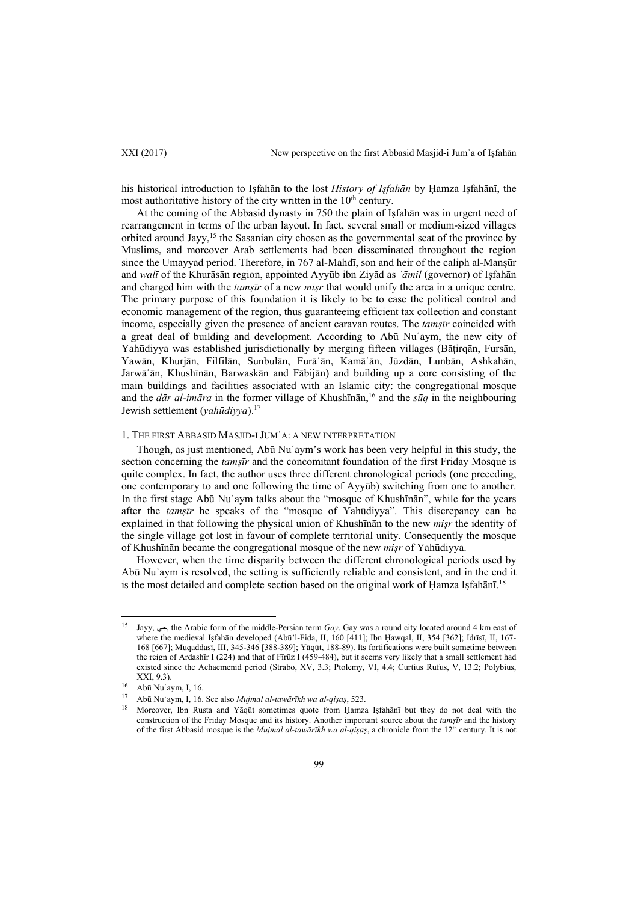his historical introduction to Iṣfahān to the lost *History of Iṣfahān* by Ḥamza Iṣfahānī, the most authoritative history of the city written in the  $10<sup>th</sup>$  century.

At the coming of the Abbasid dynasty in 750 the plain of Iṣfahān was in urgent need of rearrangement in terms of the urban layout. In fact, several small or medium-sized villages orbited around Jayy,<sup>15</sup> the Sasanian city chosen as the governmental seat of the province by Muslims, and moreover Arab settlements had been disseminated throughout the region since the Umayyad period. Therefore, in 767 al-Mahdī, son and heir of the caliph al-Manṣūr and *walī* of the Khurāsān region, appointed Ayyūb ibn Ziyād as *ʿāmil* (governor) of Iṣfahān and charged him with the *tamṣīr* of a new *miṣr* that would unify the area in a unique centre. The primary purpose of this foundation it is likely to be to ease the political control and economic management of the region, thus guaranteeing efficient tax collection and constant income, especially given the presence of ancient caravan routes. The *tamṣīr* coincided with a great deal of building and development. According to Abū Nuʿaym, the new city of Yahūdiyya was established jurisdictionally by merging fifteen villages (Bāṭirqān, Fursān, Yawān, Khurjān, Filfilān, Sunbulān, Furāʾān, Kamāʾān, Jūzdān, Lunbān, Ashkahān, Jarwāʾān, Khushīnān, Barwaskān and Fābijān) and building up a core consisting of the main buildings and facilities associated with an Islamic city: the congregational mosque and the *dār al-imāra* in the former village of Khushīnān,16 and the *sūq* in the neighbouring Jewish settlement (*yahūdiyya*).17

### 1. THE FIRST ABBASID MASJID-I JUMʿA: A NEW INTERPRETATION

Though, as just mentioned, Abū Nuʿaym's work has been very helpful in this study, the section concerning the *tamṣīr* and the concomitant foundation of the first Friday Mosque is quite complex. In fact, the author uses three different chronological periods (one preceding, one contemporary to and one following the time of Ayyūb) switching from one to another. In the first stage Abū Nuʿaym talks about the "mosque of Khushīnān", while for the years after the *tamṣīr* he speaks of the "mosque of Yahūdiyya". This discrepancy can be explained in that following the physical union of Khushīnān to the new *miṣr* the identity of the single village got lost in favour of complete territorial unity. Consequently the mosque of Khushīnān became the congregational mosque of the new *miṣr* of Yahūdiyya.

However, when the time disparity between the different chronological periods used by Abū Nuʿaym is resolved, the setting is sufficiently reliable and consistent, and in the end it is the most detailed and complete section based on the original work of Ḥamza Iṣfahānī.<sup>18</sup>

 $\overline{a}$ 

<sup>15</sup> Jayy, جي, the Arabic form of the middle-Persian term *Gay*. Gay was a round city located around 4 km east of where the medieval Iṣfahān developed (Abū'l-Fida, II, 160 [411]; Ibn Ḥawqal, II, 354 [362]; Idrīsī, II, 167- 168 [667]; Muqaddasī, III, 345-346 [388-389]; Yāqūt, 188-89). Its fortifications were built sometime between the reign of Ardashīr I (224) and that of Fīrūz I (459-484), but it seems very likely that a small settlement had existed since the Achaemenid period (Strabo, XV, 3.3; Ptolemy, VI, 4.4; Curtius Rufus, V, 13.2; Polybius, XXI, 9.3).

 $\frac{16}{17}$  Abū Nuʿaym, I, 16.

<sup>17</sup> Abū Nuʿaym, I, 16. See also *Mujmal al-tawārīkh wa al-qiṣaṣ*, 523. 18 Moreover, Ibn Rusta and Yāqūt sometimes quote from Ḥamza Iṣfahānī but they do not deal with the construction of the Friday Mosque and its history. Another important source about the *tamṣīr* and the history of the first Abbasid mosque is the *Mujmal al-tawārīkh wa al-qiṣaṣ*, a chronicle from the 12th century. It is not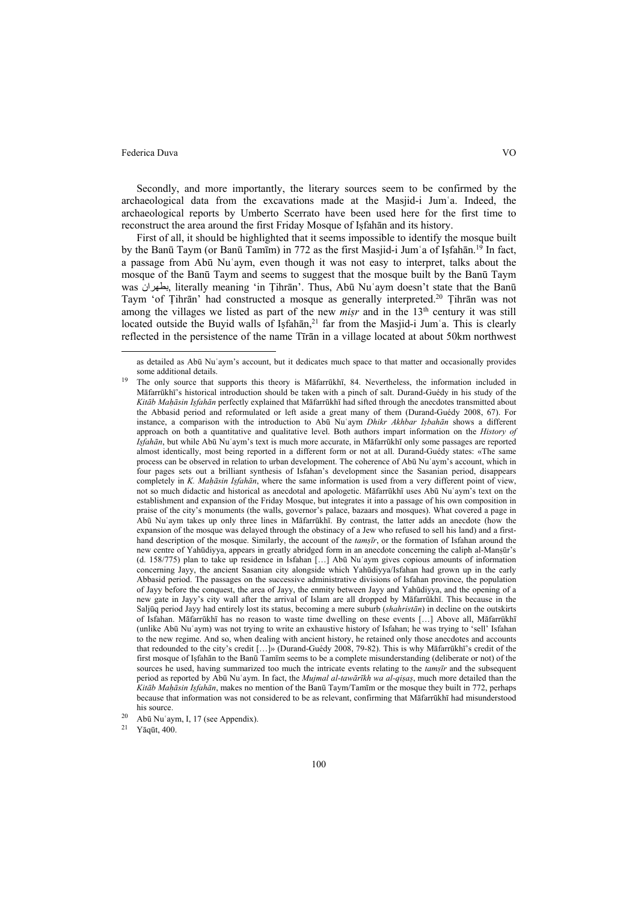Secondly, and more importantly, the literary sources seem to be confirmed by the archaeological data from the excavations made at the Masjid-i Jumʿa. Indeed, the archaeological reports by Umberto Scerrato have been used here for the first time to reconstruct the area around the first Friday Mosque of Iṣfahān and its history.

First of all, it should be highlighted that it seems impossible to identify the mosque built by the Banū Taym (or Banū Tamīm) in 772 as the first Masjid-i Jum'a of Iṣfahān.<sup>19</sup> In fact, a passage from Abū Nuʿaym, even though it was not easy to interpret, talks about the mosque of the Banū Taym and seems to suggest that the mosque built by the Banū Taym was بطهران, literally meaning 'in Ṭihrān'. Thus, Abū Nuʿaym doesn't state that the Banū Taym 'of Ṭihrān' had constructed a mosque as generally interpreted.20 Ṭihrān was not among the villages we listed as part of the new *misr* and in the 13<sup>th</sup> century it was still located outside the Buyid walls of Isfahān,<sup>21</sup> far from the Masjid-i Jum'a. This is clearly reflected in the persistence of the name Tīrān in a village located at about 50km northwest

as detailed as Abū Nuʿaym's account, but it dedicates much space to that matter and occasionally provides some additional details.<br><sup>19</sup> The only source that supports this theory is Māfarrūkhī, 84. Nevertheless, the information included in

Māfarrūkhī's historical introduction should be taken with a pinch of salt. Durand-Guédy in his study of the *Kitāb Maḥāsin Iṣfahān* perfectly explained that Māfarrūkhī had sifted through the anecdotes transmitted about the Abbasid period and reformulated or left aside a great many of them (Durand-Guédy 2008, 67). For instance, a comparison with the introduction to Abū Nuʿaym *Dhikr Akhbar Iṣbahān* shows a different approach on both a quantitative and qualitative level. Both authors impart information on the *History of Iṣfahān*, but while Abū Nuʿaym's text is much more accurate, in Māfarrūkhī only some passages are reported almost identically, most being reported in a different form or not at all. Durand-Guédy states: «The same process can be observed in relation to urban development. The coherence of Abū Nuʿaym's account, which in four pages sets out a brilliant synthesis of Isfahan's development since the Sasanian period, disappears completely in *K. Maḥāsin Iṣfahān*, where the same information is used from a very different point of view, not so much didactic and historical as anecdotal and apologetic. Māfarrūkhī uses Abū Nuʿaym's text on the establishment and expansion of the Friday Mosque, but integrates it into a passage of his own composition in praise of the city's monuments (the walls, governor's palace, bazaars and mosques). What covered a page in Abū Nuʿaym takes up only three lines in Māfarrūkhī. By contrast, the latter adds an anecdote (how the expansion of the mosque was delayed through the obstinacy of a Jew who refused to sell his land) and a firsthand description of the mosque. Similarly, the account of the *tamṣīr*, or the formation of Isfahan around the new centre of Yahūdiyya, appears in greatly abridged form in an anecdote concerning the caliph al-Manṣūr's (d. 158/775) plan to take up residence in Isfahan […] Abū Nuʿaym gives copious amounts of information concerning Jayy, the ancient Sasanian city alongside which Yahūdiyya/Isfahan had grown up in the early Abbasid period. The passages on the successive administrative divisions of Isfahan province, the population of Jayy before the conquest, the area of Jayy, the enmity between Jayy and Yahūdiyya, and the opening of a new gate in Jayy's city wall after the arrival of Islam are all dropped by Māfarrūkhī. This because in the Saljūq period Jayy had entirely lost its status, becoming a mere suburb (*shahristān*) in decline on the outskirts of Isfahan. Māfarrūkhī has no reason to waste time dwelling on these events […] Above all, Māfarrūkhī (unlike Abū Nuʿaym) was not trying to write an exhaustive history of Isfahan; he was trying to 'sell' Isfahan to the new regime. And so, when dealing with ancient history, he retained only those anecdotes and accounts that redounded to the city's credit […]» (Durand-Guédy 2008, 79-82). This is why Māfarrūkhī's credit of the first mosque of Iṣfahān to the Banū Tamīm seems to be a complete misunderstanding (deliberate or not) of the sources he used, having summarized too much the intricate events relating to the *tamṣīr* and the subsequent period as reported by Abū Nuʿaym. In fact, the *Mujmal al-tawārīkh wa al-qiṣaṣ*, much more detailed than the *Kitāb Maḥāsin Iṣfahān*, makes no mention of the Banū Taym/Tamīm or the mosque they built in 772, perhaps because that information was not considered to be as relevant, confirming that Māfarrūkhī had misunderstood

his source.<br>
<sup>20</sup> Abū Nuʿaym, I, 17 (see Appendix).<br>
<sup>21</sup> Yāsūt 400

Yāqūt, 400.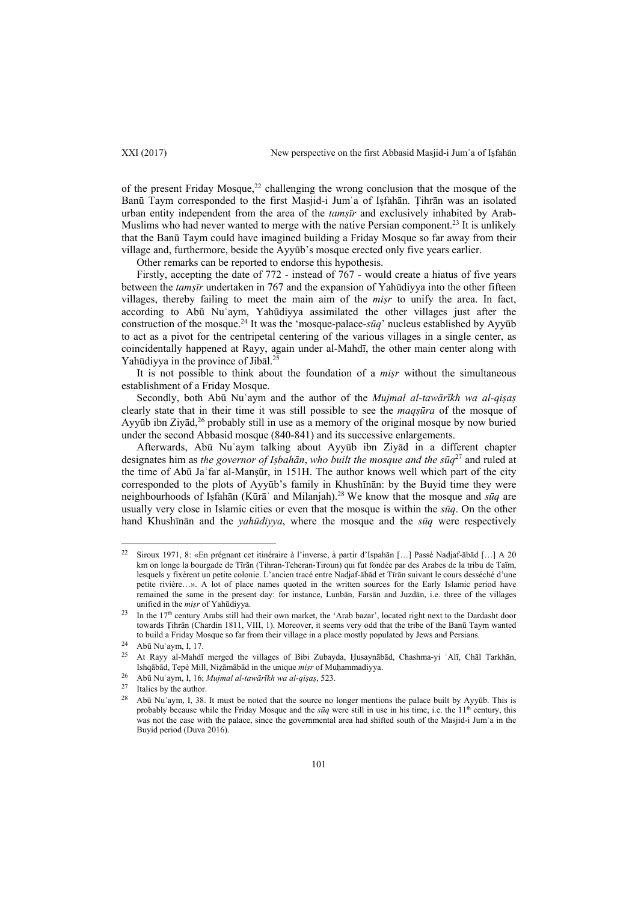XXI (2017) New perspective on the first Abbasid Masjid-i Jum'a of Istahan

of the present Friday Mosque, $22$  challenging the wrong conclusion that the mosque of the Banū Taym corresponded to the first Masjid-i Jumʿa of Iṣfahān. Ṭihrān was an isolated urban entity independent from the area of the *tamṣīr* and exclusively inhabited by Arab-Muslims who had never wanted to merge with the native Persian component.<sup>23</sup> It is unlikely that the Banū Taym could have imagined building a Friday Mosque so far away from their village and, furthermore, beside the Ayyūb's mosque erected only five years earlier.

Other remarks can be reported to endorse this hypothesis.

Firstly, accepting the date of 772 - instead of 767 - would create a hiatus of five years between the *tamṣīr* undertaken in 767 and the expansion of Yahūdiyya into the other fifteen villages, thereby failing to meet the main aim of the *miṣr* to unify the area. In fact, according to Abū Nuʿaym, Yahūdiyya assimilated the other villages just after the construction of the mosque.24 It was the 'mosque-palace-*sūq*' nucleus established by Ayyūb to act as a pivot for the centripetal centering of the various villages in a single center, as coincidentally happened at Rayy, again under al-Mahdī, the other main center along with Yahūdiyya in the province of Jibāl.<sup>25</sup>

It is not possible to think about the foundation of a *miṣr* without the simultaneous establishment of a Friday Mosque.

Secondly, both Abū Nuʿaym and the author of the *Mujmal al-tawārīkh wa al-qiṣaṣ* clearly state that in their time it was still possible to see the *maqṣūra* of the mosque of Ayyūb ibn  $\chi$ iyād,<sup>26</sup> probably still in use as a memory of the original mosque by now buried under the second Abbasid mosque (840-841) and its successive enlargements.

Afterwards, Abū Nuʿaym talking about Ayyūb ibn Ziyād in a different chapter designates him as *the governor of Iṣbahān*, *who built the mosque and the sūq*27 and ruled at the time of Abū Jaʿfar al-Manṣūr, in 151H. The author knows well which part of the city corresponded to the plots of Ayyūb's family in Khushīnān: by the Buyid time they were neighbourhoods of Iṣfahān (Kūrāʾ and Milanjah).28 We know that the mosque and *sūq* are usually very close in Islamic cities or even that the mosque is within the *sūq*. On the other hand Khushīnān and the *yahūdiyya*, where the mosque and the *sūq* were respectively

 $\overline{a}$ 

<sup>22</sup> Siroux 1971, 8: «En prégnant cet itinéraire à l'inverse, à partir d'Ispahān […] Passé Nadjaf-ābād […] A 20 km on longe la bourgade de Tīrān (Tihran-Teheran-Tiroun) qui fut fondée par des Arabes de la tribu de Taïm, lesquels y fixèrent un petite colonie. L'ancien tracé entre Nadjaf-ābād et Tīrān suivant le cours desséché d'une petite rivière…». A lot of place names quoted in the written sources for the Early Islamic period have remained the same in the present day: for instance, Lunbān, Farsān and Juzdān, i.e. three of the villages unified in the *misr* of Yahūdiyya.<br><sup>23</sup> In the 17<sup>th</sup> century Arabs still had their own market, the 'Arab bazar', located right next to the Dardasht door

towards Ṭihrān (Chardin 1811, VIII, 1). Moreover, it seems very odd that the tribe of the Banū Taym wanted to build a Friday Mosque so far from their village in a place mostly populated by Jews and Persians.<br><sup>24</sup> Abū Nuʿaym, I, 17.<br><sup>25</sup> Abū Nuraym, I, 17.

<sup>25</sup> At Rayy al-Mahdī merged the villages of Bibi Zubayda, Ḥusaynābād, Chashma-yi ʿAlī, Chāl Tarkhān, Ishqābad, Tepè Mill, Nizāmābād in the unique *misr* of Muhammadiyya.<br>
<sup>26</sup> Abū Nu'aym, I, 16; *Mujmal al-tawārīkh wa al-qisas*, 523.<br>
<sup>27</sup> Italics by the author.

<sup>28</sup> Abū Nuʿaym, I, 38. It must be noted that the source no longer mentions the palace built by Ayyūb. This is probably because while the Friday Mosque and the *sūq* were still in use in his time, i.e. the 11<sup>th</sup> century, this was not the case with the palace, since the governmental area had shifted south of the Masjid-i Jum'a in the Buyid period (Duva 2016).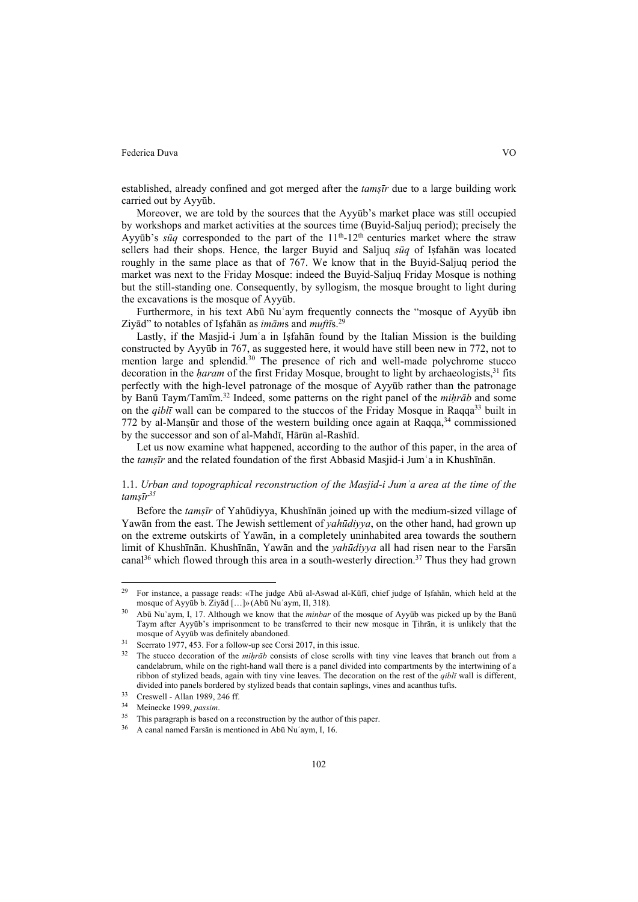established, already confined and got merged after the *tamṣīr* due to a large building work carried out by Ayyūb.

Moreover, we are told by the sources that the Ayyūb's market place was still occupied by workshops and market activities at the sources time (Buyid-Saljuq period); precisely the Ayyūb's  $s\bar{u}q$  corresponded to the part of the  $11<sup>th</sup>$ -12<sup>th</sup> centuries market where the straw sellers had their shops. Hence, the larger Buyid and Saljuq *sūq* of Iṣfahān was located roughly in the same place as that of 767. We know that in the Buyid-Saljuq period the market was next to the Friday Mosque: indeed the Buyid-Saljuq Friday Mosque is nothing but the still-standing one. Consequently, by syllogism, the mosque brought to light during the excavations is the mosque of Ayyūb.

Furthermore, in his text Abū Nuʿaym frequently connects the "mosque of Ayyūb ibn Ziyād" to notables of Iṣfahān as *imām*s and *muftī*s.29

Lastly, if the Masjid-i Jum'a in Isfahān found by the Italian Mission is the building constructed by Ayyūb in 767, as suggested here, it would have still been new in 772, not to mention large and splendid.<sup>30</sup> The presence of rich and well-made polychrome stucco decoration in the *ḥaram* of the first Friday Mosque, brought to light by archaeologists,31 fits perfectly with the high-level patronage of the mosque of Ayyūb rather than the patronage by Banū Taym/Tamīm.32 Indeed, some patterns on the right panel of the *miḥrāb* and some on the *qibl*<sup>*ī*</sup> wall can be compared to the stuccos of the Friday Mosque in Raqqa<sup>33</sup> built in 772 by al-Manṣūr and those of the western building once again at Raqqa, $34$  commissioned by the successor and son of al-Mahdī, Hārūn al-Rashīd.

Let us now examine what happened, according to the author of this paper, in the area of the *tamṣīr* and the related foundation of the first Abbasid Masjid-i Jumʿa in Khushīnān.

## 1.1. *Urban and topographical reconstruction of the Masjid-i Jumʿa area at the time of the tamṣīr35*

Before the *tamṣīr* of Yahūdiyya, Khushīnān joined up with the medium-sized village of Yawān from the east. The Jewish settlement of *yahūdiyya*, on the other hand, had grown up on the extreme outskirts of Yawān, in a completely uninhabited area towards the southern limit of Khushīnān. Khushīnān, Yawān and the *yahūdiyya* all had risen near to the Farsān canal<sup>36</sup> which flowed through this area in a south-westerly direction.<sup>37</sup> Thus they had grown

<sup>29</sup> 29 For instance, a passage reads: «The judge Abū al-Aswad al-Kūfī, chief judge of Iṣfahān, which held at the mosque of Ayyūb b. Ziyād […]» (Abū Nuʿaym, II, 318). 30 Abū Nuʿaym, I, 17. Although we know that the *minbar* of the mosque of Ayyūb was picked up by the Banū

Taym after Ayyūb's imprisonment to be transferred to their new mosque in Ṭihrān, it is unlikely that the mosque of Ayyūb was definitely abandoned.<br>
<sup>31</sup> Scerrato 1977, 453. For a follow-up see Corsi 2017, in this issue.<br>
<sup>32</sup> The stucco decoration of the *mihrāb* consists of close scrolls with tiny vine leaves that branch ou

candelabrum, while on the right-hand wall there is a panel divided into compartments by the intertwining of a ribbon of stylized beads, again with tiny vine leaves. The decoration on the rest of the *qiblī* wall is different, divided into panels bordered by stylized beads that contain saplings, vines and acanthus tufts.<br>33 Creswell - Allan 1989, 246 ff.<br>34 Meinecke 1999, *passim*.

<sup>&</sup>lt;sup>35</sup> This paragraph is based on a reconstruction by the author of this paper.<br><sup>36</sup> A canal named Farsān is mentioned in Abū Nuʿaym, I, 16.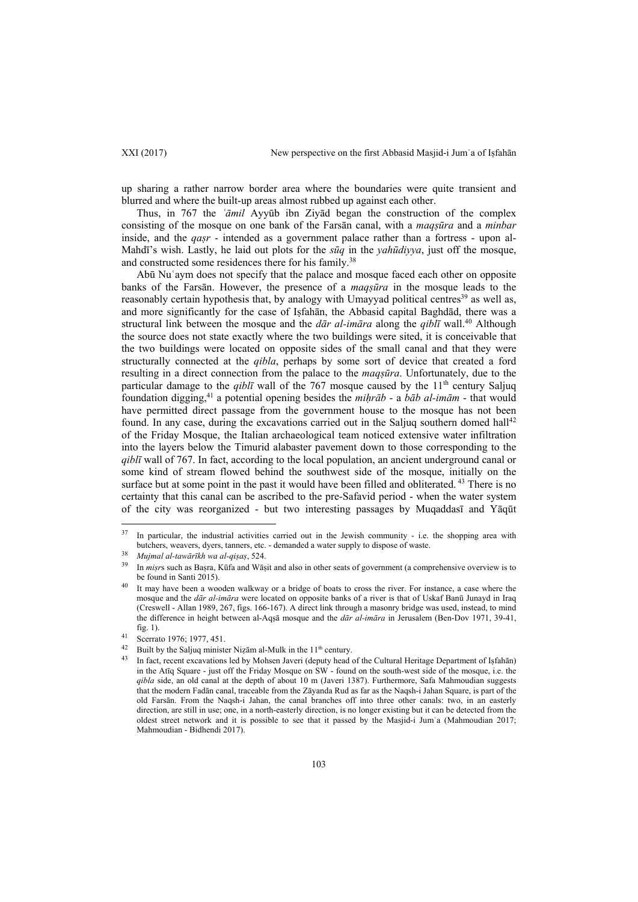up sharing a rather narrow border area where the boundaries were quite transient and blurred and where the built-up areas almost rubbed up against each other.

Thus, in 767 the *ʿāmil* Ayyūb ibn Ziyād began the construction of the complex consisting of the mosque on one bank of the Farsān canal, with a *maqṣūra* and a *minbar* inside, and the *qaṣr* - intended as a government palace rather than a fortress - upon al-Mahdī's wish. Lastly, he laid out plots for the *sūq* in the *yahūdiyya*, just off the mosque, and constructed some residences there for his family.<sup>38</sup>

Abū Nuʿaym does not specify that the palace and mosque faced each other on opposite banks of the Farsān. However, the presence of a *maqṣūra* in the mosque leads to the reasonably certain hypothesis that, by analogy with Umayyad political centres<sup>39</sup> as well as, and more significantly for the case of Iṣfahān, the Abbasid capital Baghdād, there was a structural link between the mosque and the *dār al-imāra* along the *qiblī* wall.40 Although the source does not state exactly where the two buildings were sited, it is conceivable that the two buildings were located on opposite sides of the small canal and that they were structurally connected at the *qibla*, perhaps by some sort of device that created a ford resulting in a direct connection from the palace to the *maqṣūra*. Unfortunately, due to the particular damage to the  $qibl\bar{l}$  wall of the 767 mosque caused by the  $11<sup>th</sup>$  century Saljuq foundation digging,41 a potential opening besides the *miḥrāb* - a *bāb al-imām* - that would have permitted direct passage from the government house to the mosque has not been found. In any case, during the excavations carried out in the Saljuq southern domed hall<sup>42</sup> of the Friday Mosque, the Italian archaeological team noticed extensive water infiltration into the layers below the Timurid alabaster pavement down to those corresponding to the *qiblī* wall of 767. In fact, according to the local population, an ancient underground canal or some kind of stream flowed behind the southwest side of the mosque, initially on the surface but at some point in the past it would have been filled and obliterated. <sup>43</sup> There is no certainty that this canal can be ascribed to the pre-Safavid period - when the water system of the city was reorganized - but two interesting passages by Muqaddasī and Yāqūt

 $37$ In particular, the industrial activities carried out in the Jewish community - i.e. the shopping area with butchers, weavers, dyers, tanners, etc. - demanded a water supply to dispose of waste.

<sup>&</sup>lt;sup>38</sup> Mujmal al-tawārīkh wa al-qiṣaṣ, 524.<br><sup>39</sup> In miṣrs such as Baṣra, Kūfa and Wāṣit and also in other seats of government (a comprehensive overview is to be found in Santi 2015).<br>It may have been a wooden walkway or a bridge of boats to cross the river. For instance, a case where the

mosque and the *dār al-imāra* were located on opposite banks of a river is that of Uskaf Banū Junayd in Iraq (Creswell - Allan 1989, 267, figs. 166-167). A direct link through a masonry bridge was used, instead, to mind the difference in height between al-Aqṣā mosque and the *dār al-imāra* in Jerusalem (Ben-Dov 1971, 39-41, fig. 1). 41 Scerrato 1976; 1977, 451.

<sup>&</sup>lt;sup>42</sup> Built by the Saljuq minister Nizām al-Mulk in the 11<sup>th</sup> century.<br><sup>43</sup> In fact, recent excavations led by Mohsen Javeri (deputy head of the Cultural Heritage Department of Isfahān) in the Atīq Square - just off the Friday Mosque on SW - found on the south-west side of the mosque, i.e. the *qibla* side, an old canal at the depth of about 10 m (Javeri 1387). Furthermore, Safa Mahmoudian suggests that the modern Fadān canal, traceable from the Zāyanda Rud as far as the Naqsh-i Jahan Square, is part of the old Farsān. From the Naqsh-i Jahan, the canal branches off into three other canals: two, in an easterly direction, are still in use; one, in a north-easterly direction, is no longer existing but it can be detected from the oldest street network and it is possible to see that it passed by the Masjid-i Jumʿa (Mahmoudian 2017; Mahmoudian - Bidhendi 2017).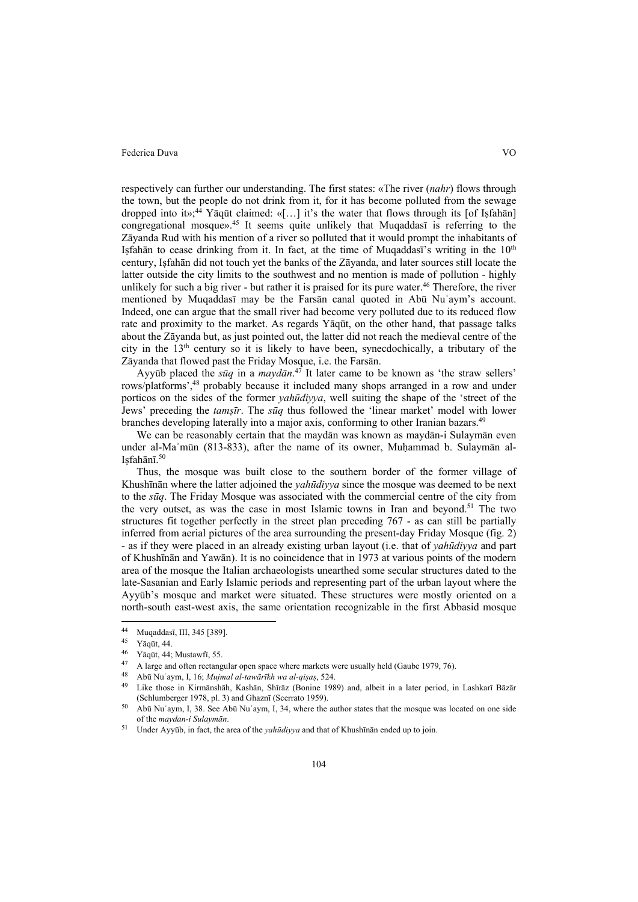respectively can further our understanding. The first states: «The river (*nahr*) flows through the town, but the people do not drink from it, for it has become polluted from the sewage dropped into it»;<sup>44</sup> Yāqūt claimed: «[...] it's the water that flows through its [of Iṣfahān] congregational mosque».45 It seems quite unlikely that Muqaddasī is referring to the Zāyanda Rud with his mention of a river so polluted that it would prompt the inhabitants of Isfahān to cease drinking from it. In fact, at the time of Muqaddasī's writing in the  $10<sup>th</sup>$ century, Iṣfahān did not touch yet the banks of the Zāyanda, and later sources still locate the latter outside the city limits to the southwest and no mention is made of pollution - highly unlikely for such a big river - but rather it is praised for its pure water.<sup>46</sup> Therefore, the river mentioned by Muqaddasī may be the Farsān canal quoted in Abū Nuʿaym's account. Indeed, one can argue that the small river had become very polluted due to its reduced flow rate and proximity to the market. As regards Yāqūt, on the other hand, that passage talks about the Zāyanda but, as just pointed out, the latter did not reach the medieval centre of the city in the  $13<sup>th</sup>$  century so it is likely to have been, synecdochically, a tributary of the Zāyanda that flowed past the Friday Mosque, i.e. the Farsān.

Ayyūb placed the *sūq* in a *maydān*. 47 It later came to be known as 'the straw sellers' rows/platforms',48 probably because it included many shops arranged in a row and under porticos on the sides of the former *yahūdiyya*, well suiting the shape of the 'street of the Jews' preceding the *tamṣīr*. The *sūq* thus followed the 'linear market' model with lower branches developing laterally into a major axis, conforming to other Iranian bazars.<sup>49</sup>

We can be reasonably certain that the maydān was known as maydān-i Sulaymān even under al-Maʾmūn (813-833), after the name of its owner, Muḥammad b. Sulaymān al-Isfahānī. $50$ 

Thus, the mosque was built close to the southern border of the former village of Khushīnān where the latter adjoined the *yahūdiyya* since the mosque was deemed to be next to the *sūq*. The Friday Mosque was associated with the commercial centre of the city from the very outset, as was the case in most Islamic towns in Iran and beyond.<sup>51</sup> The two structures fit together perfectly in the street plan preceding 767 - as can still be partially inferred from aerial pictures of the area surrounding the present-day Friday Mosque (fig. 2) - as if they were placed in an already existing urban layout (i.e. that of *yahūdiyya* and part of Khushīnān and Yawān). It is no coincidence that in 1973 at various points of the modern area of the mosque the Italian archaeologists unearthed some secular structures dated to the late-Sasanian and Early Islamic periods and representing part of the urban layout where the Ayyūb's mosque and market were situated. These structures were mostly oriented on a north-south east-west axis, the same orientation recognizable in the first Abbasid mosque

 $44$  $^{44}$  Muqaddasī, III, 345 [389].

 $\frac{45}{46}$  Yāqūt, 44.

<sup>46</sup> Yāqūt, 44; Mustawfī, 55.

<sup>&</sup>lt;sup>47</sup> A large and often rectangular open space where markets were usually held (Gaube 1979, 76).<br><sup>48</sup> Abū Nu'aym, I, 16; *Mujmal al-tawārīkh wa al-qiṣaṣ*, 524.<br><sup>49</sup> Like those in Kirmānshāh, Kashān, Shīrāz (Bonine 1989) and

<sup>&</sup>lt;sup>50</sup> Abū Nuʿaym, I, 38. See Abū Nuʿaym, I, 34, where the author states that the mosque was located on one side of the *maydan-i Sulaymān*.

Under Ayyūb, in fact, the area of the *yahūdiyya* and that of Khushīnān ended up to join.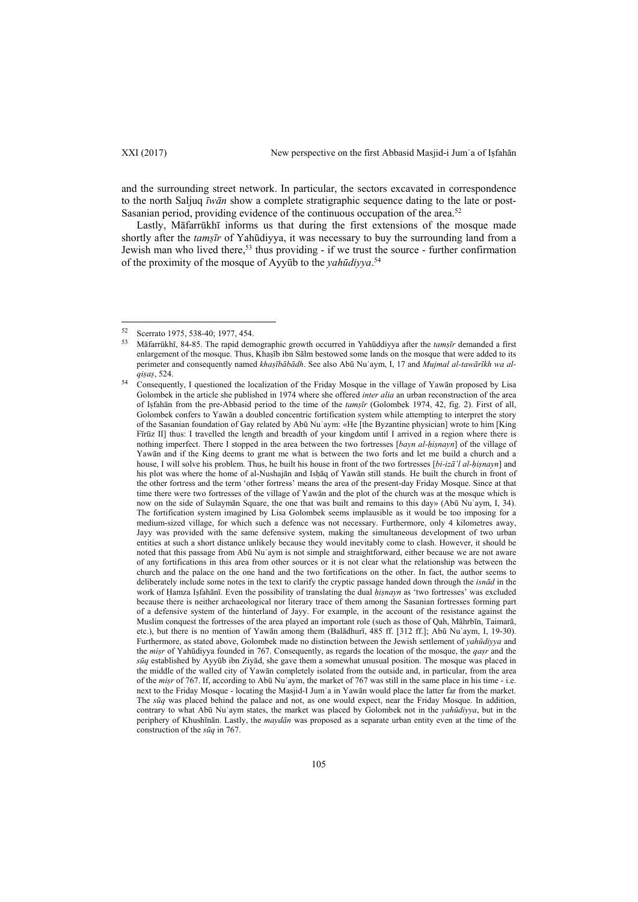$\overline{\phantom{a}}$ 

and the surrounding street network. In particular, the sectors excavated in correspondence to the north Saljuq *īwān* show a complete stratigraphic sequence dating to the late or post-Sasanian period, providing evidence of the continuous occupation of the area.<sup>52</sup>

Lastly, Māfarrūkhī informs us that during the first extensions of the mosque made shortly after the *tamṣīr* of Yahūdiyya, it was necessary to buy the surrounding land from a Jewish man who lived there,<sup>53</sup> thus providing - if we trust the source - further confirmation of the proximity of the mosque of Ayyūb to the *yahūdiyya*. 54

<sup>52</sup> Scerrato 1975, 538-40; 1977, 454.

<sup>53</sup> Māfarrūkhī, 84-85. The rapid demographic growth occurred in Yahūddiyya after the *tamṣīr* demanded a first enlargement of the mosque. Thus, Khaṣīb ibn Sālm bestowed some lands on the mosque that were added to its perimeter and consequently named *khaṣībābādh*. See also Abū Nuʿaym, I, 17 and *Mujmal al-tawārīkh wa alqisas*, 524.<br><sup>54</sup> Consequently, I questioned the localization of the Friday Mosque in the village of Yawān proposed by Lisa

Golombek in the article she published in 1974 where she offered *inter alia* an urban reconstruction of the area of Iṣfahān from the pre-Abbasid period to the time of the *tamṣīr* (Golombek 1974, 42, fig. 2). First of all, Golombek confers to Yawān a doubled concentric fortification system while attempting to interpret the story of the Sasanian foundation of Gay related by Abū Nuʿaym: «He [the Byzantine physician] wrote to him [King Fīrūz II] thus: I travelled the length and breadth of your kingdom until I arrived in a region where there is nothing imperfect. There I stopped in the area between the two fortresses [*bayn al-ḥiṣnayn*] of the village of Yawān and if the King deems to grant me what is between the two forts and let me build a church and a house, I will solve his problem. Thus, he built his house in front of the two fortresses [*bi-izā῾l al-ḥiṣnayn*] and his plot was where the home of al-Nushajān and Isḥāq of Yawān still stands. He built the church in front of the other fortress and the term 'other fortress' means the area of the present-day Friday Mosque. Since at that time there were two fortresses of the village of Yawān and the plot of the church was at the mosque which is now on the side of Sulaymān Square, the one that was built and remains to this day» (Abū Nuʿaym, I, 34). The fortification system imagined by Lisa Golombek seems implausible as it would be too imposing for a medium-sized village, for which such a defence was not necessary. Furthermore, only 4 kilometres away, Jayy was provided with the same defensive system, making the simultaneous development of two urban entities at such a short distance unlikely because they would inevitably come to clash. However, it should be noted that this passage from Abū Nuʿaym is not simple and straightforward, either because we are not aware of any fortifications in this area from other sources or it is not clear what the relationship was between the church and the palace on the one hand and the two fortifications on the other. In fact, the author seems to deliberately include some notes in the text to clarify the cryptic passage handed down through the *isnād* in the work of Ḥamza Iṣfahānī. Even the possibility of translating the dual *ḥiṣnayn* as 'two fortresses' was excluded because there is neither archaeological nor literary trace of them among the Sasanian fortresses forming part of a defensive system of the hinterland of Jayy. For example, in the account of the resistance against the Muslim conquest the fortresses of the area played an important role (such as those of Qah, Māhrbīn, Taimarā, etc.), but there is no mention of Yawān among them (Balādhurī, 485 ff. [312 ff.]; Abū Nuʿaym, I, 19-30). Furthermore, as stated above, Golombek made no distinction between the Jewish settlement of *yahūdiyya* and the *miṣr* of Yahūdiyya founded in 767. Consequently, as regards the location of the mosque, the *qaṣr* and the *sūq* established by Ayyūb ibn Ziyād, she gave them a somewhat unusual position. The mosque was placed in the middle of the walled city of Yawān completely isolated from the outside and, in particular, from the area of the *miṣr* of 767. If, according to Abū Nuʿaym, the market of 767 was still in the same place in his time - i.e. next to the Friday Mosque - locating the Masjid-I Jumʿa in Yawān would place the latter far from the market. The *sūq* was placed behind the palace and not, as one would expect, near the Friday Mosque. In addition, contrary to what Abū Nuʿaym states, the market was placed by Golombek not in the *yahūdiyya*, but in the periphery of Khushīnān. Lastly, the *maydān* was proposed as a separate urban entity even at the time of the construction of the *sūq* in 767.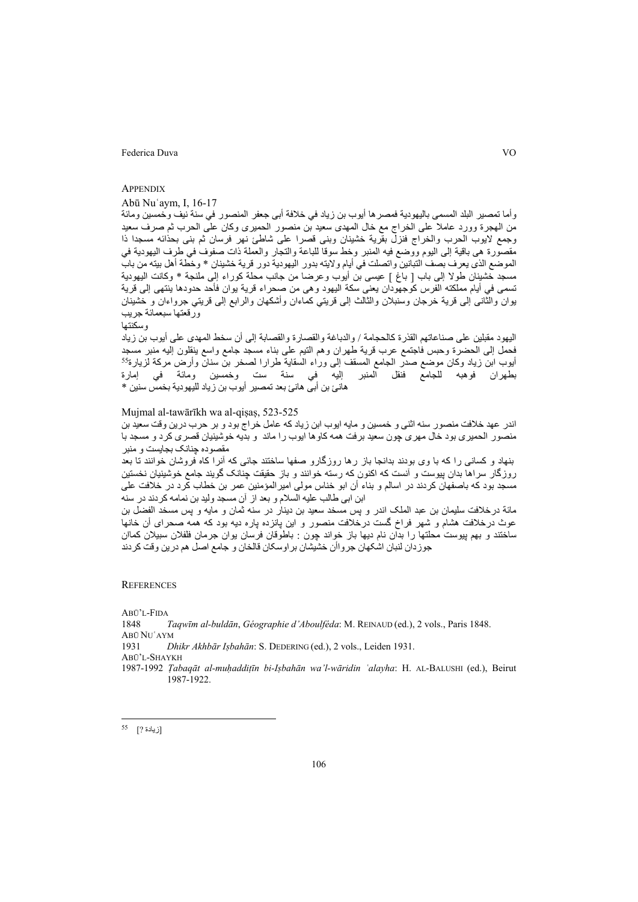## **APPENDIX**

# Abū Nuʿaym, I, 16-17

وأما تمصير البلد المسمى باليهودية فمصرها أيوب بن زياد في خلافة أبى جعفر المنصور في سنة نيف وخمسين ومائة من الهجرة وورد عاملا على الخراج مع خال المهدى سعيد بن منصور الحميرى وكان على الحرب ثم صرف سعيد وجمع لايوب الحرب والخراج فنزل بقرية خشينان وبنى قصرا على شاطئ نهر فرسان ثم بنى بحذائه مسجدا ذا مقصورة هى باقية إلى اليوم ووضع فيه المنبر وخط سوقا للباعة والتجار والعملة ذات صفوف في طرف اليهودية في الموضع الذى يعرف بصف التبانين واتصلت في أيام ولايته بدور اليهودية دور قرية خشينان \* وخطة أهل بيته من باب مسجد خشينان طولا إلى باب [ باغ ] عيسى بن أيوب وعرضا من جانب محلة كوراء إلى ملنجة \* وكانت اليهودية تسمى في أيام مملكته الفرس كوجهودان يعنى سكة اليهود وهى من صحراء قرية يوان فأحد حدودها ينتهى إلى قرية يوان والثانى إلى قرية خرجان وسنبلان والثالث إلى قريتي كماءان وأشكهان والرابع إلى قريتي جرواءان و خشينان ورقعتها سبعمائة جريب

وسكنتها

اليهود مقبلين على صناعاتهم القذرة كالحجامة / والدباغة والقصارة والقصابة إلى أن سخط المهدى على أيوب بن زياد فحمل إلى الحضرة وحبس فاجتمع عرب قرية طهران وهم التيم على بناء مسجد جامع واسع ينقلون إليه منبر مسجد<br>أيوب ابن زياد وكان موضع صدر الجامع المسقف إلى وراء السقاية طرارا لصخر بن سنان وأرض مركة لزيارة<sup>55</sup> بطهران فوهبه للجامع فنقل المنبر إليه في سنة ست وخمسين ومائة في إمارة هانئ بن أبى هانئ بعد تمصير أيوب بن زياد لليهودية بخمس سنين \*

### Mujmal al-tawārīkh wa al-qisas, 523-525

اندر عهد خلافت منصور سنه اثنی و خمسين و مايه ايوب ابن زياد که عامل خراج بود و بر حرب درين وقت سعيد بن منصور الحميری بود خال مهری چون سعيد برفت همه کاوها ايوب را ماند و بديه خوشينيان قصری کرد و مسجد با مقصوده چنانک بجايست و منبر

بنهاد و کسانی را که با وی بودند بدانجا باز رها روزگارو صفها ساختند جائی که آنرا کاه فروشان خوانند تا بعد روزگار سراها بدان پيوست و آنست که اکنون که رسته خوانند و باز حقيقت چنانک گويند جامع خوشينيان نخستين مسجد بود که باصفهان کردند در اسالم و بناء أن ابو خناس مولی اميرالمؤمنين عمر بن خطاب کرد در خلافت علی ابن ابی طالب عليه السلام و بعد از آن مسجد وليد بن نمامه کردند در سنه

مائة درخلافت سليمان بن عبد الملک اندر و پس مسخد سعيد بن دينار در سنه ثمان و مايه و پس مسخد الفضل بن عوث درخلافت هشام و شهر فراخ گست درخلافت منصور و اين پانزده پاره ديه بود که همه صحرای أن خانها ساختند و بهم پيوست محلتها را بدان نام ديها باز خواند چون : باطوقان فرسان يوان جرمان فلفلان سبيلان کماان جوزدان لنبان اشکهان جرواأن خشيشان براوسکان قالخان و جامع اصل هم درين وقت کردند

#### **REFERENCES**

ABŪ'L-FIDA 1848 *Taqwīm al-buldān*, *Géographie d'Aboulféda*: M. REINAUD (ed.), 2 vols., Paris 1848. ABŪ NUʿAYM 1931 *Dhikr Akhbār Iṣbahān*: S. DEDERING (ed.), 2 vols., Leiden 1931. ABŪ'L-SHAYKH 1987-1992 *Ṭabaqāt al-muḥaddiṭīn bi-Iṣbahān wa'l-wāridin ʿalayha*: H. AL-BALUSHI (ed.), Beirut 1987-1922.

 $\overline{\phantom{a}}$ 

<sup>[</sup>زيادة ?] <sup>55</sup>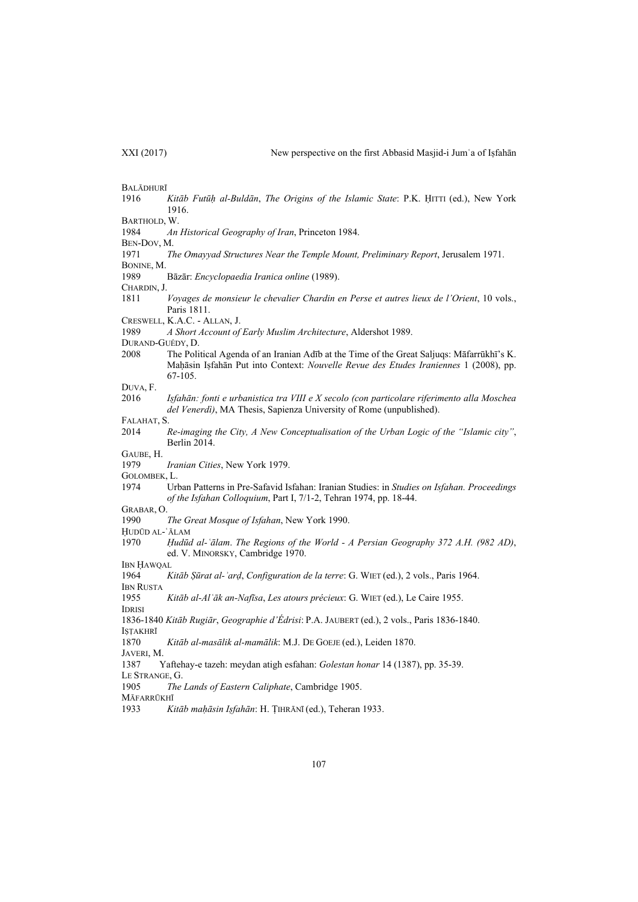BALĀDHURĪ 1916 *Kitāb Futūḥ al-Buldān*, *The Origins of the Islamic State*: P.K. ḤITTI (ed.), New York 1916. BARTHOLD, W. 1984 *An Historical Geography of Iran*, Princeton 1984. BEN-DOV, M. 1971 *The Omayyad Structures Near the Temple Mount, Preliminary Report*, Jerusalem 1971. BONINE, M. 1989 Bāzār: *Encyclopaedia Iranica online* (1989). CHARDIN, J. 1811 *Voyages de monsieur le chevalier Chardin en Perse et autres lieux de l'Orient*, 10 vols., Paris 1811. CRESWELL, K.A.C. - ALLAN, J. 1989 *A Short Account of Early Muslim Architecture*, Aldershot 1989. DURAND-GUÉDY, D. 2008 The Political Agenda of an Iranian Adīb at the Time of the Great Saljuqs: Māfarrūkhī's K. Maḥāsin Iṣfahān Put into Context: *Nouvelle Revue des Etudes Iraniennes* 1 (2008), pp. 67-105. DUVA, F. 2016 *Iṣfahān: fonti e urbanistica tra VIII e X secolo (con particolare riferimento alla Moschea del Venerdì)*, MA Thesis, Sapienza University of Rome (unpublished). FALAHAT, S. 2014 *Re-imaging the City, A New Conceptualisation of the Urban Logic of the "Islamic city"*, Berlin 2014. GAUBE, H. 1979 *Iranian Cities*, New York 1979. GOLOMBEK, L. 1974 Urban Patterns in Pre-Safavid Isfahan: Iranian Studies: in *Studies on Isfahan. Proceedings of the Isfahan Colloquium*, Part I, 7/1-2, Tehran 1974, pp. 18-44. GRABAR, O. 1990 *The Great Mosque of Isfahan*, New York 1990. ḤUDŪD AL-ʿĀLAM 1970 *Ḥudūd al-ʿālam*. *The Regions of the World - A Persian Geography 372 A.H. (982 AD)*, ed. V. MINORSKY, Cambridge 1970. IBN ḤAWQAL 1964 *Kitāb Ṣūrat al-ʾarḍ*, *Configuration de la terre*: G. WIET (ed.), 2 vols., Paris 1964. IBN RUSTA 1955 *Kitāb al-Alʿāk an-Nafīsa*, *Les atours précieux*: G. WIET (ed.), Le Caire 1955. IDRISI 1836-1840 *Kitāb Rugiār*, *Geographie d'Édrisi*: P.A. JAUBERT (ed.), 2 vols., Paris 1836-1840. ISTAKHRĪ 1870 *Kitāb al-masālik al-mamālik*: M.J. DE GOEJE (ed.), Leiden 1870. JAVERI, M. 1387 Yaftehay-e tazeh: meydan atigh esfahan: *Golestan honar* 14 (1387), pp. 35-39. LE STRANGE, G. 1905 *The Lands of Eastern Caliphate*, Cambridge 1905. MĀFARRŪKHĪ 1933 *Kitāb maḥāsin Iṣfahān*: H. ṬIHRĀNĪ (ed.), Teheran 1933.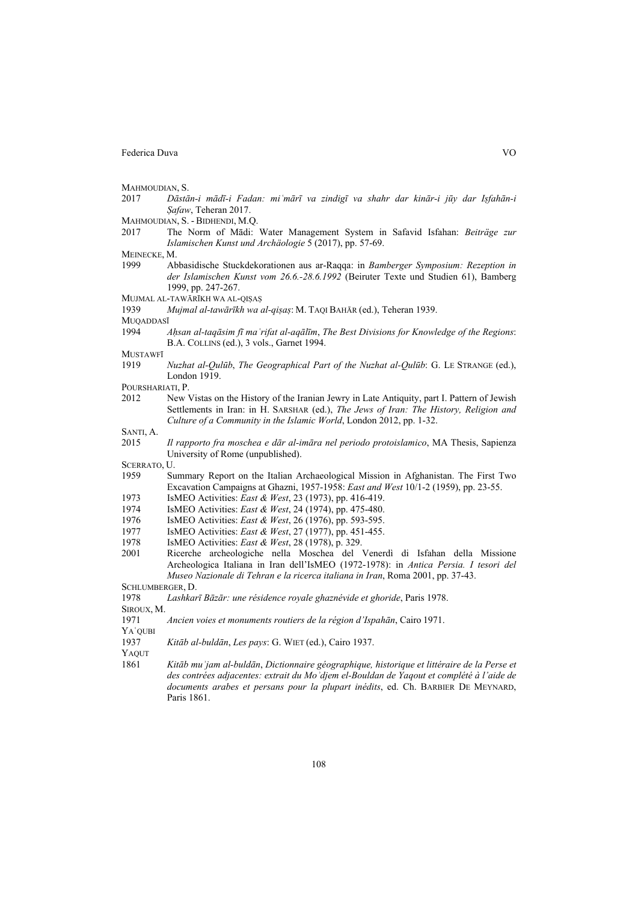MAHMOUDIAN, S.

- 2017 Dāstān-i mādī-i Fadan: mi'mārī va zindigī va shahr dar kinār-i jūy dar Isfahān-i *Ṣafaw*, Teheran 2017.
- MAHMOUDIAN, S. BIDHENDI, M.Q.
- 2017 The Norm of Mādi: Water Management System in Safavid Isfahan: *Beiträge zur Islamischen Kunst und Archäologie* 5 (2017), pp. 57-69.
- MEINECKE, M.
- 1999 Abbasidische Stuckdekorationen aus ar-Raqqa: in *Bamberger Symposium: Rezeption in der Islamischen Kunst vom 26.6.-28.6.1992* (Beiruter Texte und Studien 61), Bamberg 1999, pp. 247-267.
- MUJMAL AL-TAWĀRĪKH WA AL-QIṢAṢ
- 1939 *Mujmal al-tawārīkh wa al-qiṣaṣ*: M. TAQI BAHĀR (ed.), Teheran 1939.

MUQADDASĪ

1994 *Aḥsan al-taqāsim fī maʿrifat al-aqālīm*, *The Best Divisions for Knowledge of the Regions*: B.A. COLLINS (ed.), 3 vols., Garnet 1994.

MUSTAWFĪ

1919 *Nuzhat al-Qulūb*, *The Geographical Part of the Nuzhat al-Qulūb*: G. LE STRANGE (ed.), London 1919.

POURSHARIATI, P.

2012 New Vistas on the History of the Iranian Jewry in Late Antiquity, part I. Pattern of Jewish Settlements in Iran: in H. SARSHAR (ed.), *The Jews of Iran: The History, Religion and Culture of a Community in the Islamic World*, London 2012, pp. 1-32.

SANTI<sub>A</sub>

2015 *Il rapporto fra moschea e dār al-imāra nel periodo protoislamico*, MA Thesis, Sapienza University of Rome (unpublished).

SCERRATO, U.

- 1959 Summary Report on the Italian Archaeological Mission in Afghanistan. The First Two Excavation Campaigns at Ghazni, 1957-1958: *East and West* 10/1-2 (1959), pp. 23-55.
- 1973 IsMEO Activities: *East & West*, 23 (1973), pp. 416-419.
- 1974 IsMEO Activities: *East & West*, 24 (1974), pp. 475-480.
- 1976 IsMEO Activities: *East & West*, 26 (1976), pp. 593-595.
- 1977 IsMEO Activities: *East & West*, 27 (1977), pp. 451-455.
- 1978 IsMEO Activities: *East & West*, 28 (1978), p. 329.
- 2001 Ricerche archeologiche nella Moschea del Venerdì di Isfahan della Missione Archeologica Italiana in Iran dell'IsMEO (1972-1978): in *Antica Persia. I tesori del Museo Nazionale di Tehran e la ricerca italiana in Iran*, Roma 2001, pp. 37-43.

SCHLUMBERGER, D.

SIROUX, M.

1971 *Ancien voies et monuments routiers de la région d'Ispahān*, Cairo 1971.

YAʿQUBI

1937 *Kitāb al-buldān*, *Les pays*: G. WIET (ed.), Cairo 1937.

YAQUT

1861 *Kitāb muʾjam al-buldān*, *Dictionnaire géographique, historique et littéraire de la Perse et des contrées adjacentes: extrait du Moʾdjem el-Bouldan de Yaqout et complété à l'aide de documents arabes et persans pour la plupart inédits*, ed. Ch. BARBIER DE MEYNARD, Paris 1861.

<sup>1978</sup> *Lashkarī Bāzār: une résidence royale ghaznévide et ghoride*, Paris 1978.